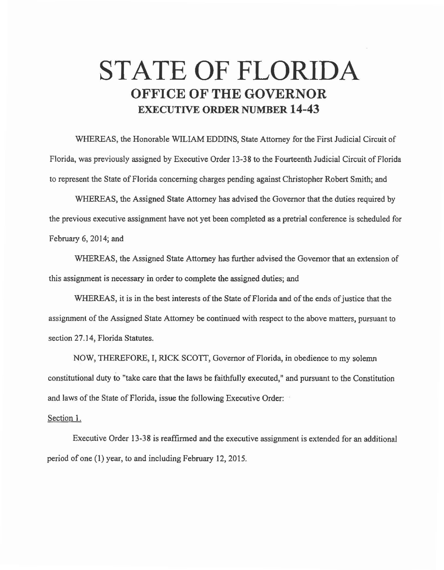## **STATE OF FLORIDA OFFICE OF THE GOVERNOR EXECUTIVE ORDER NUMBER 14-43**

WHEREAS, the Honorable WILIAM EDDINS, State Attorney for the First Judicial Circuit of Florida, was previously assigned by Executive Order 13-38 to the Fourteenth Judicial Circuit of Florida to represent the State of Florida concerning charges pending against Christopher Robert Smith; and

WHEREAS, the Assigned State Attorney has advised the Governor that the duties required by the previous executive assignment have not yet been completed as a pretrial conference is scheduled for February 6, 2014; and

WHEREAS, the Assigned State Attorney has further advised the Governor that an extension of this assignment is necessary in order to complete the assigned duties; and

WHEREAS, it is in the best interests of the State of Florida and of the ends of justice that the assignment of the Assigned State Attorney be continued with respect to the above matters, pursuant to section 27.14, Florida Statutes.

NOW, THEREFORE, I, RJCK SCOTT, Governor of Florida, in obedience to my solemn constitutional duty to "take care that the laws be faithfully executed," and pursuant to the Constitution and laws of the State of Florida, issue the following Executive Order:

## Section 1.

Executive Order 13-38 is reaffirmed and the executive assignment is extended for an additional period of one (1) year, to and including February 12, 2015.